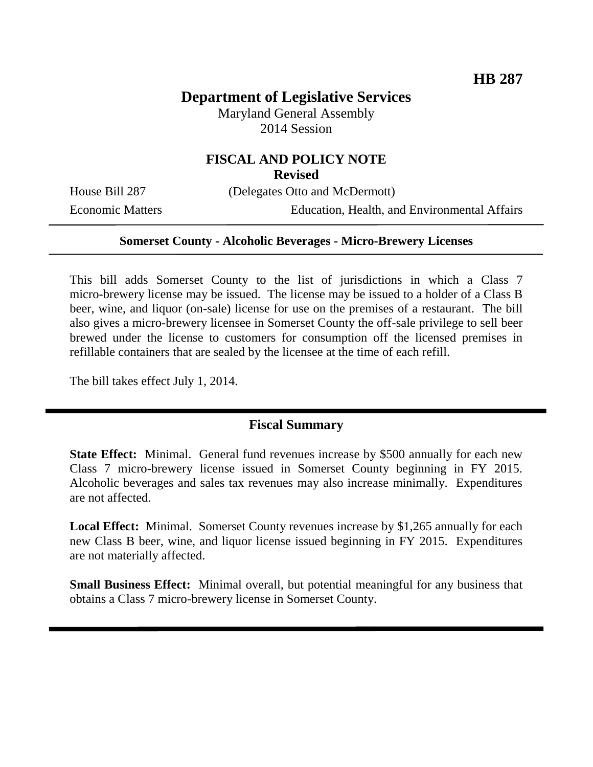# **Department of Legislative Services**

Maryland General Assembly 2014 Session

# **FISCAL AND POLICY NOTE**

**Revised**

House Bill 287 (Delegates Otto and McDermott)

Economic Matters Education, Health, and Environmental Affairs

#### **Somerset County - Alcoholic Beverages - Micro-Brewery Licenses**

This bill adds Somerset County to the list of jurisdictions in which a Class 7 micro-brewery license may be issued. The license may be issued to a holder of a Class B beer, wine, and liquor (on-sale) license for use on the premises of a restaurant. The bill also gives a micro-brewery licensee in Somerset County the off-sale privilege to sell beer brewed under the license to customers for consumption off the licensed premises in refillable containers that are sealed by the licensee at the time of each refill.

The bill takes effect July 1, 2014.

### **Fiscal Summary**

**State Effect:** Minimal. General fund revenues increase by \$500 annually for each new Class 7 micro-brewery license issued in Somerset County beginning in FY 2015. Alcoholic beverages and sales tax revenues may also increase minimally. Expenditures are not affected.

**Local Effect:** Minimal.Somerset County revenues increase by \$1,265 annually for each new Class B beer, wine, and liquor license issued beginning in FY 2015. Expenditures are not materially affected.

**Small Business Effect:** Minimal overall, but potential meaningful for any business that obtains a Class 7 micro-brewery license in Somerset County.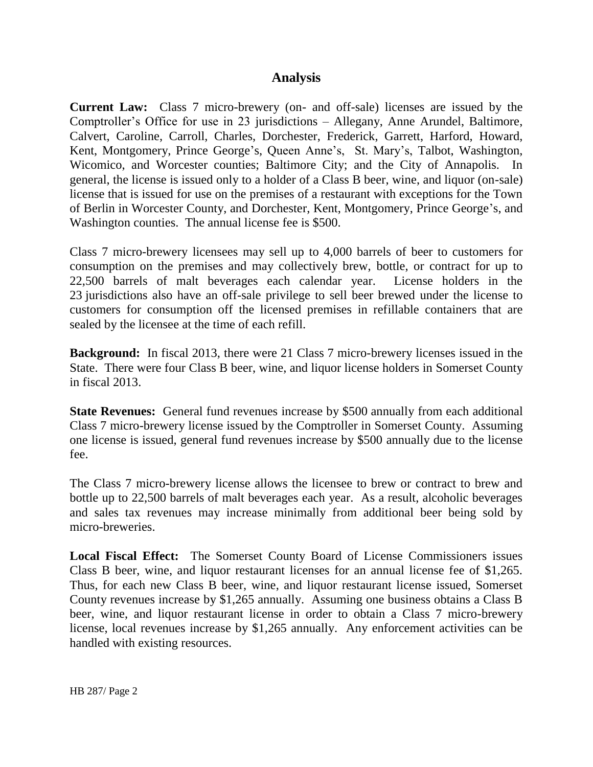#### **Analysis**

**Current Law:** Class 7 micro-brewery (on- and off-sale) licenses are issued by the Comptroller's Office for use in 23 jurisdictions – Allegany, Anne Arundel, Baltimore, Calvert, Caroline, Carroll, Charles, Dorchester, Frederick, Garrett, Harford, Howard, Kent, Montgomery, Prince George's, Queen Anne's, St. Mary's, Talbot, Washington, Wicomico, and Worcester counties; Baltimore City; and the City of Annapolis. In general, the license is issued only to a holder of a Class B beer, wine, and liquor (on-sale) license that is issued for use on the premises of a restaurant with exceptions for the Town of Berlin in Worcester County, and Dorchester, Kent, Montgomery, Prince George's, and Washington counties. The annual license fee is \$500.

Class 7 micro-brewery licensees may sell up to 4,000 barrels of beer to customers for consumption on the premises and may collectively brew, bottle, or contract for up to 22,500 barrels of malt beverages each calendar year. License holders in the 23 jurisdictions also have an off-sale privilege to sell beer brewed under the license to customers for consumption off the licensed premises in refillable containers that are sealed by the licensee at the time of each refill.

**Background:** In fiscal 2013, there were 21 Class 7 micro-brewery licenses issued in the State. There were four Class B beer, wine, and liquor license holders in Somerset County in fiscal 2013.

**State Revenues:** General fund revenues increase by \$500 annually from each additional Class 7 micro-brewery license issued by the Comptroller in Somerset County. Assuming one license is issued, general fund revenues increase by \$500 annually due to the license fee.

The Class 7 micro-brewery license allows the licensee to brew or contract to brew and bottle up to 22,500 barrels of malt beverages each year. As a result, alcoholic beverages and sales tax revenues may increase minimally from additional beer being sold by micro-breweries.

**Local Fiscal Effect:** The Somerset County Board of License Commissioners issues Class B beer, wine, and liquor restaurant licenses for an annual license fee of \$1,265. Thus, for each new Class B beer, wine, and liquor restaurant license issued, Somerset County revenues increase by \$1,265 annually. Assuming one business obtains a Class B beer, wine, and liquor restaurant license in order to obtain a Class 7 micro-brewery license, local revenues increase by \$1,265 annually. Any enforcement activities can be handled with existing resources.